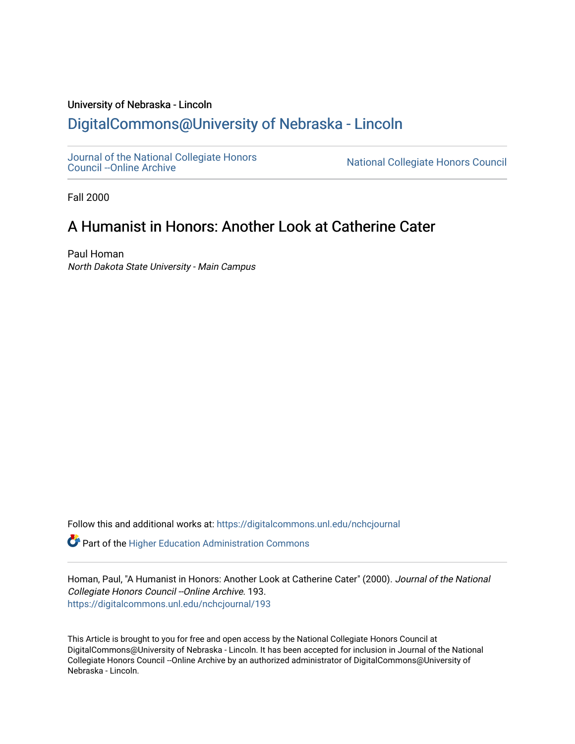### University of Nebraska - Lincoln [DigitalCommons@University of Nebraska - Lincoln](https://digitalcommons.unl.edu/)

[Journal of the National Collegiate Honors](https://digitalcommons.unl.edu/nchcjournal) 

National Collegiate Honors Council

Fall 2000

## A Humanist in Honors: Another Look at Catherine Cater

Paul Homan North Dakota State University - Main Campus

Follow this and additional works at: [https://digitalcommons.unl.edu/nchcjournal](https://digitalcommons.unl.edu/nchcjournal?utm_source=digitalcommons.unl.edu%2Fnchcjournal%2F193&utm_medium=PDF&utm_campaign=PDFCoverPages) 

**C** Part of the Higher Education Administration Commons

Homan, Paul, "A Humanist in Honors: Another Look at Catherine Cater" (2000). Journal of the National Collegiate Honors Council --Online Archive. 193. [https://digitalcommons.unl.edu/nchcjournal/193](https://digitalcommons.unl.edu/nchcjournal/193?utm_source=digitalcommons.unl.edu%2Fnchcjournal%2F193&utm_medium=PDF&utm_campaign=PDFCoverPages) 

This Article is brought to you for free and open access by the National Collegiate Honors Council at DigitalCommons@University of Nebraska - Lincoln. It has been accepted for inclusion in Journal of the National Collegiate Honors Council --Online Archive by an authorized administrator of DigitalCommons@University of Nebraska - Lincoln.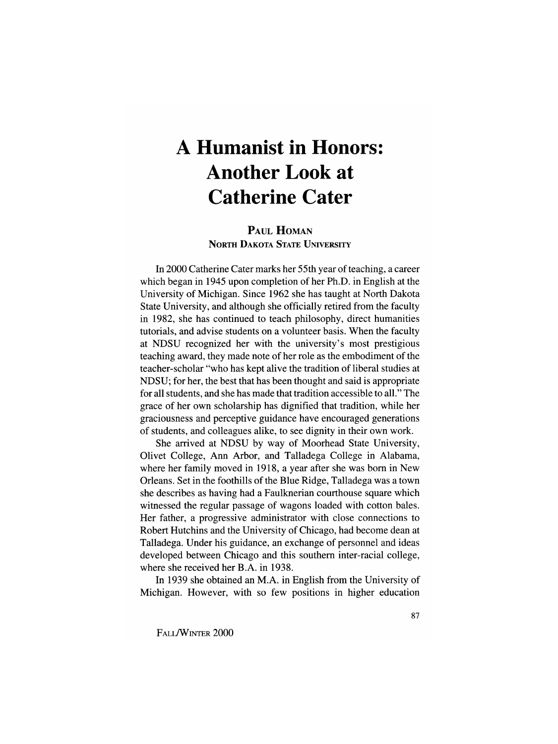# **A Humanist in Honors: Another Look at Catherine Cater**

#### PAUL HOMAN NORTH DAKOTA STATE UNIVERSITY

In 2000 Catherine Cater marks her 55th year of teaching, a career which began in 1945 upon completion of her Ph.D. in English at the University of Michigan. Since 1962 she has taught at North Dakota State University, and although she officially retired from the faculty in 1982, she has continued to teach philosophy, direct humanities tutorials, and advise students on a volunteer basis. When the faculty at NDSU recognized her with the university's most prestigious teaching award, they made note of her role as the embodiment of the teacher-scholar "who has kept alive the tradition of liberal studies at NDSU; for her, the best that has been thought and said is appropriate for all students, and she has made that tradition accessible to all." The grace of her own scholarship has dignified that tradition, while her graciousness and perceptive guidance have encouraged generations of students, and colleagues alike, to see dignity in their own work.

She arrived at NDSU by way of Moorhead State University, Olivet College, Ann Arbor, and Talladega College in Alabama, where her family moved in 1918, a year after she was born in New Orleans. Set in the foothills of the Blue Ridge, Talladega was a town she describes as having had a Faulknerian courthouse square which witnessed the regular passage of wagons loaded with cotton bales. Her father, a progressive administrator with close connections to Robert Hutchins and the University of Chicago, had become dean at Talladega. Under his guidance, an exchange of personnel and ideas developed between Chicago and this southern inter-racial college, where she received her B.A. in 1938.

In 1939 she obtained an M.A. in English from the University of Michigan. However, with so few positions in higher education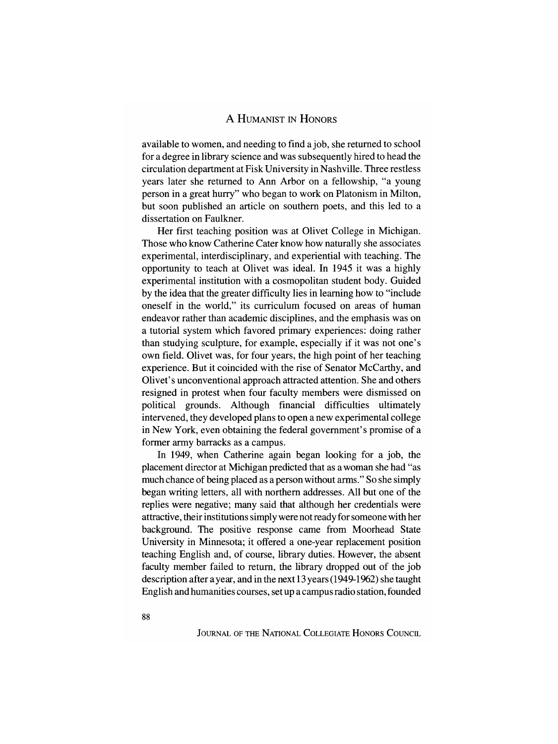available to women, and needing to find a job, she returned to school for a degree in library science and was subsequently hired to head the circulation department at Fisk University in Nashville. Three restless years later she returned to Ann Arbor on a fellowship, "a young person in a great hurry" who began to work on Platonism in Milton, but soon published an article on southern poets, and this led to a dissertation on Faulkner.

Her first teaching position was at Olivet College in Michigan. Those who know Catherine Cater know how naturally she associates experimental, interdisciplinary, and experiential with teaching. The opportunity to teach at Olivet was ideal. In 1945 it was a highly experimental institution with a cosmopolitan student body. Guided by the idea that the greater difficulty lies in learning how to "include oneself in the world," its curriculum focused on areas of human endeavor rather than academic disciplines, and the emphasis was on a tutorial system which favored primary experiences: doing rather than studying sculpture, for example, especially if it was not one's own field. Olivet was, for four years, the high point of her teaching experience. But it coincided with the rise of Senator McCarthy, and Olivet's unconventional approach attracted attention. She and others resigned in protest when four faculty members were dismissed on political grounds. Although financial difficulties ultimately intervened, they developed plans to open a new experimental college in New York, even obtaining the federal government's promise of a former army barracks as a campus.

In 1949, when Catherine again began looking for a job, the placement director at Michigan predicted that as a woman she had "as much chance of being placed as a person without arms." So she simply began writing letters, all with northern addresses. All but one of the replies were negative; many said that although her credentials were attractive, their institutions simply were not ready for someone with her background. The positive response came from Moorhead State University in Minnesota; it offered a one-year replacement position teaching English and, of course, library duties. However, the absent faculty member failed to return, the library dropped out of the job description after a year, and in the next 13 years (1949-1962) she taught English and humanities courses, set up a campus radio station, founded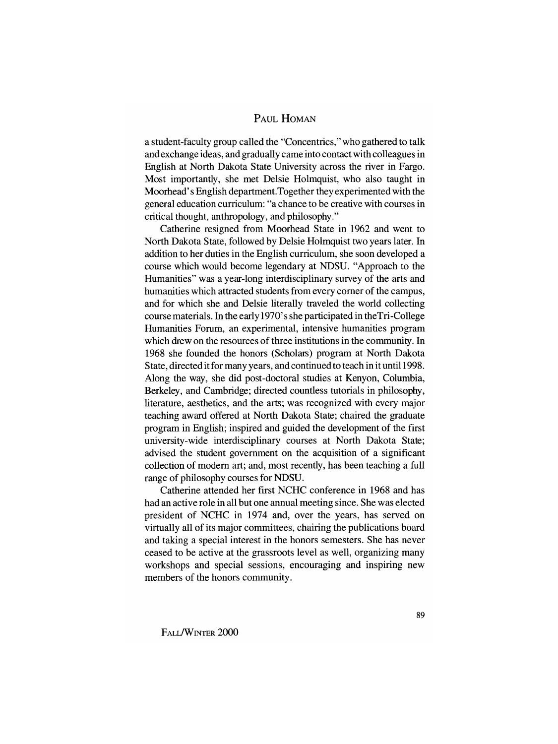#### PAUL HOMAN

a student-faculty group called the "Concentrics," who gathered to talk and exchange ideas, and gradually came into contact with colleagues in English at North Dakota State University across the river in Fargo. Most importantly, she met Delsie Holmquist, who also taught in Moorhead's English department. Together they experimented with the general education curriculum: "a chance to be creative with courses in critical thought, anthropology, and philosophy."

Catherine resigned from Moorhead State in 1962 and went to North Dakota State, followed by Delsie Holmquist two years later. In addition to her duties in the English curriculum, she soon developed a course which would become legendary at NDSU. "Approach to the Humanities" was a year-long interdisciplinary survey of the arts and humanities which attracted students from every comer of the campus, and for which she and Delsie literally traveled the world collecting course materials. In the early 1970' s she participated in theTri -College Humanities Forum, an experimental, intensive humanities program which drew on the resources of three institutions in the community. In 1968 she founded the honors (Scholars) program at North Dakota State, directed it for many years, and continued to teach in it until 1998 . Along the way, she did post -doctoral studies at Kenyon, Columbia, Berkeley, and Cambridge; directed countless tutorials in philosophy, literature, aesthetics, and the arts; was recognized with every major teaching award offered at North Dakota State; chaired the graduate program in English; inspired and guided the development of the first university-wide interdisciplinary courses at North Dakota State; advised the student government on the acquisition of a significant collection of modem art; and, most recently, has been teaching a full range of philosophy courses for NDSU.

Catherine attended her first NCHC conference in 1968 and has had an active role in all but one annual meeting since. She was elected president of NCHC in 1974 and, over the years, has served on virtually all of its major committees, chairing the publications board and taking a special interest in the honors semesters. She has never ceased to be active at the grassroots level as well, organizing many workshops and special sessions, encouraging and inspiring new members of the honors community.